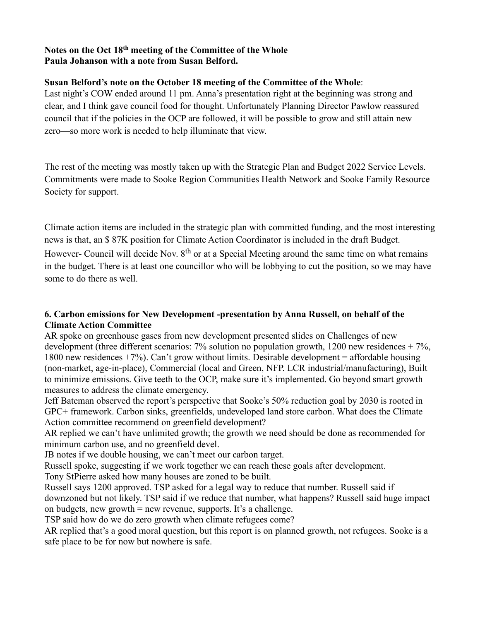#### **Notes on the Oct 18th meeting of the Committee of the Whole Paula Johanson with a note from Susan Belford.**

#### **Susan Belford's note on the October 18 meeting of the Committee of the Whole**:

Last night's COW ended around 11 pm. Anna's presentation right at the beginning was strong and clear, and I think gave council food for thought. Unfortunately Planning Director Pawlow reassured council that if the policies in the OCP are followed, it will be possible to grow and still attain new zero—so more work is needed to help illuminate that view.

The rest of the meeting was mostly taken up with the Strategic Plan and Budget 2022 Service Levels. Commitments were made to Sooke Region Communities Health Network and Sooke Family Resource Society for support.

Climate action items are included in the strategic plan with committed funding, and the most interesting news is that, an \$ 87K position for Climate Action Coordinator is included in the draft Budget. However- Council will decide Nov. 8<sup>th</sup> or at a Special Meeting around the same time on what remains in the budget. There is at least one councillor who will be lobbying to cut the position, so we may have some to do there as well.

#### **6. Carbon emissions for New Development -presentation by Anna Russell, on behalf of the Climate Action Committee**

AR spoke on greenhouse gases from new development presented slides on Challenges of new development (three different scenarios:  $7\%$  solution no population growth, 1200 new residences  $+7\%$ , 1800 new residences +7%). Can't grow without limits. Desirable development = affordable housing (non-market, age-in-place), Commercial (local and Green, NFP. LCR industrial/manufacturing), Built to minimize emissions. Give teeth to the OCP, make sure it's implemented. Go beyond smart growth measures to address the climate emergency.

Jeff Bateman observed the report's perspective that Sooke's 50% reduction goal by 2030 is rooted in GPC+ framework. Carbon sinks, greenfields, undeveloped land store carbon. What does the Climate Action committee recommend on greenfield development?

AR replied we can't have unlimited growth; the growth we need should be done as recommended for minimum carbon use, and no greenfield devel.

JB notes if we double housing, we can't meet our carbon target.

Russell spoke, suggesting if we work together we can reach these goals after development.

Tony StPierre asked how many houses are zoned to be built.

Russell says 1200 approved. TSP asked for a legal way to reduce that number. Russell said if

downzoned but not likely. TSP said if we reduce that number, what happens? Russell said huge impact on budgets, new growth  $=$  new revenue, supports. It's a challenge.

TSP said how do we do zero growth when climate refugees come?

AR replied that's a good moral question, but this report is on planned growth, not refugees. Sooke is a safe place to be for now but nowhere is safe.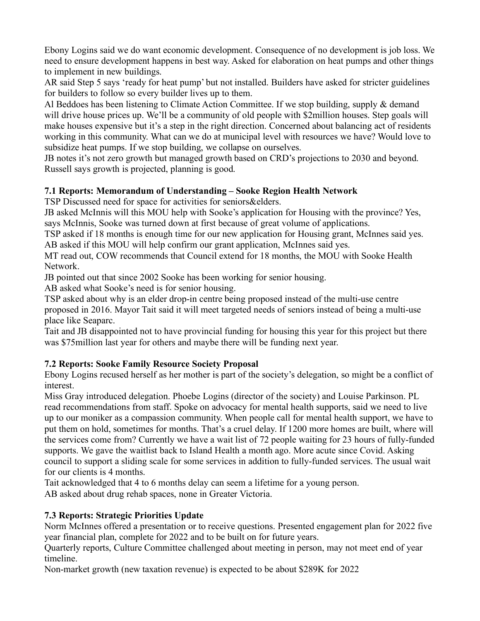Ebony Logins said we do want economic development. Consequence of no development is job loss. We need to ensure development happens in best way. Asked for elaboration on heat pumps and other things to implement in new buildings.

AR said Step 5 says 'ready for heat pump' but not installed. Builders have asked for stricter guidelines for builders to follow so every builder lives up to them.

Al Beddoes has been listening to Climate Action Committee. If we stop building, supply & demand will drive house prices up. We'll be a community of old people with \$2million houses. Step goals will make houses expensive but it's a step in the right direction. Concerned about balancing act of residents working in this community. What can we do at municipal level with resources we have? Would love to subsidize heat pumps. If we stop building, we collapse on ourselves.

JB notes it's not zero growth but managed growth based on CRD's projections to 2030 and beyond. Russell says growth is projected, planning is good.

## **7.1 Reports: Memorandum of Understanding – Sooke Region Health Network**

TSP Discussed need for space for activities for seniors&elders.

JB asked McInnis will this MOU help with Sooke's application for Housing with the province? Yes, says McInnis, Sooke was turned down at first because of great volume of applications.

TSP asked if 18 months is enough time for our new application for Housing grant, McInnes said yes. AB asked if this MOU will help confirm our grant application, McInnes said yes.

MT read out, COW recommends that Council extend for 18 months, the MOU with Sooke Health Network.

JB pointed out that since 2002 Sooke has been working for senior housing.

AB asked what Sooke's need is for senior housing.

TSP asked about why is an elder drop-in centre being proposed instead of the multi-use centre proposed in 2016. Mayor Tait said it will meet targeted needs of seniors instead of being a multi-use place like Seaparc.

Tait and JB disappointed not to have provincial funding for housing this year for this project but there was \$75million last year for others and maybe there will be funding next year.

## **7.2 Reports: Sooke Family Resource Society Proposal**

Ebony Logins recused herself as her mother is part of the society's delegation, so might be a conflict of interest.

Miss Gray introduced delegation. Phoebe Logins (director of the society) and Louise Parkinson. PL read recommendations from staff. Spoke on advocacy for mental health supports, said we need to live up to our moniker as a compassion community. When people call for mental health support, we have to put them on hold, sometimes for months. That's a cruel delay. If 1200 more homes are built, where will the services come from? Currently we have a wait list of 72 people waiting for 23 hours of fully-funded supports. We gave the waitlist back to Island Health a month ago. More acute since Covid. Asking council to support a sliding scale for some services in addition to fully-funded services. The usual wait for our clients is 4 months.

Tait acknowledged that 4 to 6 months delay can seem a lifetime for a young person.

AB asked about drug rehab spaces, none in Greater Victoria.

## **7.3 Reports: Strategic Priorities Update**

Norm McInnes offered a presentation or to receive questions. Presented engagement plan for 2022 five year financial plan, complete for 2022 and to be built on for future years.

Quarterly reports, Culture Committee challenged about meeting in person, may not meet end of year timeline.

Non-market growth (new taxation revenue) is expected to be about \$289K for 2022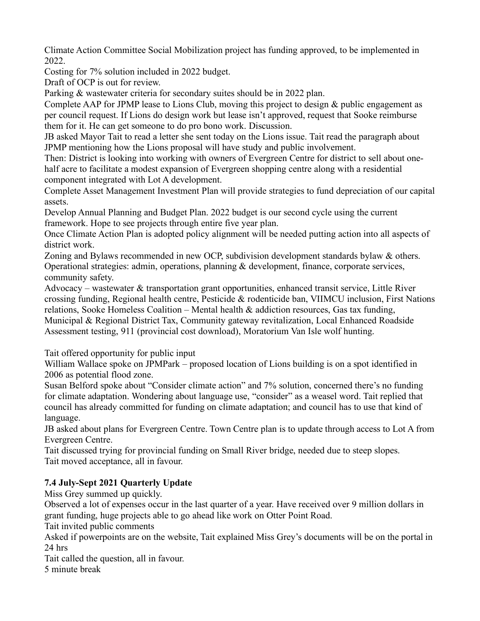Climate Action Committee Social Mobilization project has funding approved, to be implemented in 2022.

Costing for 7% solution included in 2022 budget.

Draft of OCP is out for review.

Parking & wastewater criteria for secondary suites should be in 2022 plan.

Complete AAP for JPMP lease to Lions Club, moving this project to design & public engagement as per council request. If Lions do design work but lease isn't approved, request that Sooke reimburse them for it. He can get someone to do pro bono work. Discussion.

JB asked Mayor Tait to read a letter she sent today on the Lions issue. Tait read the paragraph about JPMP mentioning how the Lions proposal will have study and public involvement.

Then: District is looking into working with owners of Evergreen Centre for district to sell about onehalf acre to facilitate a modest expansion of Evergreen shopping centre along with a residential component integrated with Lot A development.

Complete Asset Management Investment Plan will provide strategies to fund depreciation of our capital assets.

Develop Annual Planning and Budget Plan. 2022 budget is our second cycle using the current framework. Hope to see projects through entire five year plan.

Once Climate Action Plan is adopted policy alignment will be needed putting action into all aspects of district work.

Zoning and Bylaws recommended in new OCP, subdivision development standards bylaw & others. Operational strategies: admin, operations, planning & development, finance, corporate services, community safety.

Advocacy – wastewater & transportation grant opportunities, enhanced transit service, Little River crossing funding, Regional health centre, Pesticide & rodenticide ban, VIIMCU inclusion, First Nations relations, Sooke Homeless Coalition – Mental health  $\&$  addiction resources, Gas tax funding, Municipal & Regional District Tax, Community gateway revitalization, Local Enhanced Roadside Assessment testing, 911 (provincial cost download), Moratorium Van Isle wolf hunting.

Tait offered opportunity for public input

William Wallace spoke on JPMPark – proposed location of Lions building is on a spot identified in 2006 as potential flood zone.

Susan Belford spoke about "Consider climate action" and 7% solution, concerned there's no funding for climate adaptation. Wondering about language use, "consider" as a weasel word. Tait replied that council has already committed for funding on climate adaptation; and council has to use that kind of language.

JB asked about plans for Evergreen Centre. Town Centre plan is to update through access to Lot A from Evergreen Centre.

Tait discussed trying for provincial funding on Small River bridge, needed due to steep slopes. Tait moved acceptance, all in favour.

# **7.4 July-Sept 2021 Quarterly Update**

Miss Grey summed up quickly.

Observed a lot of expenses occur in the last quarter of a year. Have received over 9 million dollars in grant funding, huge projects able to go ahead like work on Otter Point Road.

Tait invited public comments

Asked if powerpoints are on the website, Tait explained Miss Grey's documents will be on the portal in 24 hrs

Tait called the question, all in favour.

5 minute break